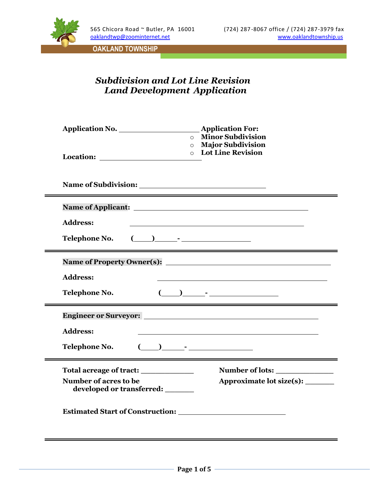

## *Subdivision and Lot Line Revision Land Development Application*

| <b>Address:</b><br>$\begin{picture}(20,10) \put(0,0){\line(1,0){10}} \put(15,0){\line(1,0){10}} \put(15,0){\line(1,0){10}} \put(15,0){\line(1,0){10}} \put(15,0){\line(1,0){10}} \put(15,0){\line(1,0){10}} \put(15,0){\line(1,0){10}} \put(15,0){\line(1,0){10}} \put(15,0){\line(1,0){10}} \put(15,0){\line(1,0){10}} \put(15,0){\line(1,0){10}} \put(15,0){\line(1$<br>Telephone No.<br><b>Address:</b><br>$\begin{array}{ccc} \begin{array}{ccc} \end{array} & \begin{array}{ccc} \end{array} & \begin{array}{ccc} \end{array} & \begin{array}{ccc} \end{array} & \begin{array}{ccc} \end{array} & \begin{array}{ccc} \end{array} & \begin{array}{ccc} \end{array} & \begin{array}{ccc} \end{array} & \begin{array}{ccc} \end{array} & \begin{array}{ccc} \end{array} & \begin{array}{ccc} \end{array} & \begin{array}{ccc} \end{array} & \begin{array}{ccc} \end{array} & \begin{array}{ccc} \end{array} & \begin{array}{ccc} \end{array} & \begin{array}{ccc} \end{array} & \begin{array}{$<br>Telephone No.<br><b>Address:</b><br>$\begin{array}{ccc} \begin{array}{ccc} \end{array} \begin{array}{ccc} \end{array} \begin{array}{ccc} \end{array} \begin{array}{ccc} \end{array} \begin{array}{ccc} \end{array} \begin{array}{ccc} \end{array} \begin{array}{ccc} \end{array} \begin{array}{ccc} \end{array} \begin{array}{ccc} \end{array} \begin{array}{ccc} \end{array} \begin{array}{ccc} \end{array} \begin{array}{ccc} \end{array} \begin{array}{ccc} \end{array} \begin{array}{ccc} \end{array} \begin{array}{ccc} \end{array} \begin{array}{ccc} \end{array} \begin{array}{ccc} \end{array} \begin{array}{ccc} \end$<br>Telephone No.<br>Total acreage of tract: _______________<br>Number of acres to be<br>developed or transferred: _______ | <b>Application For:</b><br><b>Minor Subdivision</b><br><b>Major Subdivision</b><br><b>o</b> Lot Line Revision |
|----------------------------------------------------------------------------------------------------------------------------------------------------------------------------------------------------------------------------------------------------------------------------------------------------------------------------------------------------------------------------------------------------------------------------------------------------------------------------------------------------------------------------------------------------------------------------------------------------------------------------------------------------------------------------------------------------------------------------------------------------------------------------------------------------------------------------------------------------------------------------------------------------------------------------------------------------------------------------------------------------------------------------------------------------------------------------------------------------------------------------------------------------------------------------------------------------------------------------------------------------------------------------------------------------------------------------------------------------------------------------------------------------------------------------------------------------------------------------------------------------------------------------------------------------------------------------------------------------------------------------------------------------------------------------------------------------------------------------------------------------------------|---------------------------------------------------------------------------------------------------------------|
|                                                                                                                                                                                                                                                                                                                                                                                                                                                                                                                                                                                                                                                                                                                                                                                                                                                                                                                                                                                                                                                                                                                                                                                                                                                                                                                                                                                                                                                                                                                                                                                                                                                                                                                                                                |                                                                                                               |
|                                                                                                                                                                                                                                                                                                                                                                                                                                                                                                                                                                                                                                                                                                                                                                                                                                                                                                                                                                                                                                                                                                                                                                                                                                                                                                                                                                                                                                                                                                                                                                                                                                                                                                                                                                |                                                                                                               |
|                                                                                                                                                                                                                                                                                                                                                                                                                                                                                                                                                                                                                                                                                                                                                                                                                                                                                                                                                                                                                                                                                                                                                                                                                                                                                                                                                                                                                                                                                                                                                                                                                                                                                                                                                                |                                                                                                               |
|                                                                                                                                                                                                                                                                                                                                                                                                                                                                                                                                                                                                                                                                                                                                                                                                                                                                                                                                                                                                                                                                                                                                                                                                                                                                                                                                                                                                                                                                                                                                                                                                                                                                                                                                                                |                                                                                                               |
|                                                                                                                                                                                                                                                                                                                                                                                                                                                                                                                                                                                                                                                                                                                                                                                                                                                                                                                                                                                                                                                                                                                                                                                                                                                                                                                                                                                                                                                                                                                                                                                                                                                                                                                                                                |                                                                                                               |
|                                                                                                                                                                                                                                                                                                                                                                                                                                                                                                                                                                                                                                                                                                                                                                                                                                                                                                                                                                                                                                                                                                                                                                                                                                                                                                                                                                                                                                                                                                                                                                                                                                                                                                                                                                |                                                                                                               |
|                                                                                                                                                                                                                                                                                                                                                                                                                                                                                                                                                                                                                                                                                                                                                                                                                                                                                                                                                                                                                                                                                                                                                                                                                                                                                                                                                                                                                                                                                                                                                                                                                                                                                                                                                                |                                                                                                               |
|                                                                                                                                                                                                                                                                                                                                                                                                                                                                                                                                                                                                                                                                                                                                                                                                                                                                                                                                                                                                                                                                                                                                                                                                                                                                                                                                                                                                                                                                                                                                                                                                                                                                                                                                                                |                                                                                                               |
|                                                                                                                                                                                                                                                                                                                                                                                                                                                                                                                                                                                                                                                                                                                                                                                                                                                                                                                                                                                                                                                                                                                                                                                                                                                                                                                                                                                                                                                                                                                                                                                                                                                                                                                                                                |                                                                                                               |
|                                                                                                                                                                                                                                                                                                                                                                                                                                                                                                                                                                                                                                                                                                                                                                                                                                                                                                                                                                                                                                                                                                                                                                                                                                                                                                                                                                                                                                                                                                                                                                                                                                                                                                                                                                |                                                                                                               |
|                                                                                                                                                                                                                                                                                                                                                                                                                                                                                                                                                                                                                                                                                                                                                                                                                                                                                                                                                                                                                                                                                                                                                                                                                                                                                                                                                                                                                                                                                                                                                                                                                                                                                                                                                                | Number of lots:                                                                                               |
|                                                                                                                                                                                                                                                                                                                                                                                                                                                                                                                                                                                                                                                                                                                                                                                                                                                                                                                                                                                                                                                                                                                                                                                                                                                                                                                                                                                                                                                                                                                                                                                                                                                                                                                                                                | Approximate lot size(s): _______                                                                              |
|                                                                                                                                                                                                                                                                                                                                                                                                                                                                                                                                                                                                                                                                                                                                                                                                                                                                                                                                                                                                                                                                                                                                                                                                                                                                                                                                                                                                                                                                                                                                                                                                                                                                                                                                                                |                                                                                                               |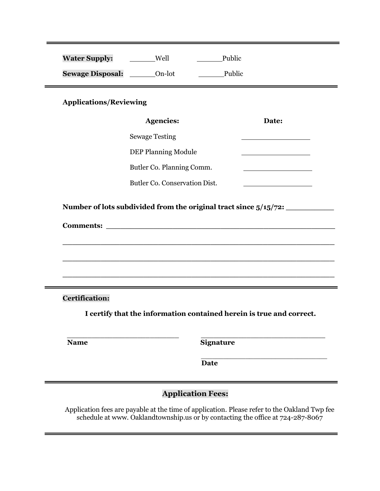| <b>Water Supply:</b>            | Well                                                                             |                                                                      |  |  |  |  |  |
|---------------------------------|----------------------------------------------------------------------------------|----------------------------------------------------------------------|--|--|--|--|--|
| Sewage Disposal: _______ On-lot |                                                                                  | Public                                                               |  |  |  |  |  |
| <b>Applications/Reviewing</b>   |                                                                                  |                                                                      |  |  |  |  |  |
|                                 | <b>Agencies:</b>                                                                 | Date:                                                                |  |  |  |  |  |
|                                 | <b>Sewage Testing</b>                                                            |                                                                      |  |  |  |  |  |
|                                 | <b>DEP Planning Module</b><br><u> 1989 - Johann Barbara, martxa alemani</u> ar a |                                                                      |  |  |  |  |  |
|                                 | Butler Co. Planning Comm.                                                        |                                                                      |  |  |  |  |  |
|                                 | Butler Co. Conservation Dist.                                                    |                                                                      |  |  |  |  |  |
|                                 |                                                                                  |                                                                      |  |  |  |  |  |
| <b>Certification:</b>           |                                                                                  |                                                                      |  |  |  |  |  |
|                                 |                                                                                  | I certify that the information contained herein is true and correct. |  |  |  |  |  |
| <b>Name</b>                     |                                                                                  | <b>Signature</b>                                                     |  |  |  |  |  |
|                                 |                                                                                  | <b>Date</b>                                                          |  |  |  |  |  |
| <b>Application Fees:</b>        |                                                                                  |                                                                      |  |  |  |  |  |

Application fees are payable at the time of application. Please refer to the Oakland Twp fee schedule at [www. O](http://www/)aklandtownship.us or by contacting the office at 724-287-8067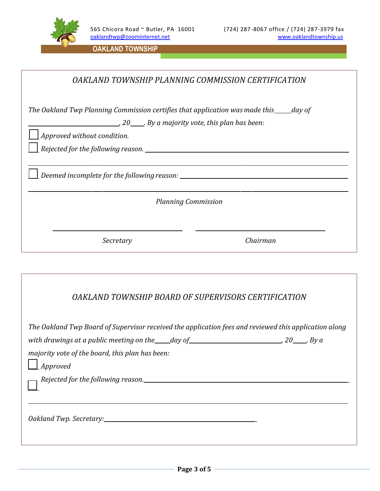

|  |  | OAKLAND TOWNSHIP PLANNING COMMISSION CERTIFICATION |
|--|--|----------------------------------------------------|

*The Oakland Twp Planning Commission certifies that application wasmade this day of*

*, 20 . By a majority vote, this plan has been:* 

*Approved without condition.*

*Rejected for the following reason.*

*Deemed incomplete for the following reason:*

*Planning Commission*

*Secretary Chairman*

## *OAKLAND TOWNSHIP BOARD OF SUPERVISORS CERTIFICATION*

| The Oakland Twp Board of Supervisor received the application fees and reviewed this application along     |  |
|-----------------------------------------------------------------------------------------------------------|--|
| with drawings at a public meeting on the $\_\_\_day$ of $\_\_\_\_\_d$ and $\_\_\_\_\_$ 20 $\_\_\_\_$ By a |  |
| majority vote of the board, this plan has been:                                                           |  |
| $\Box$ Approved                                                                                           |  |
| Rejected for the following reason._____________                                                           |  |
|                                                                                                           |  |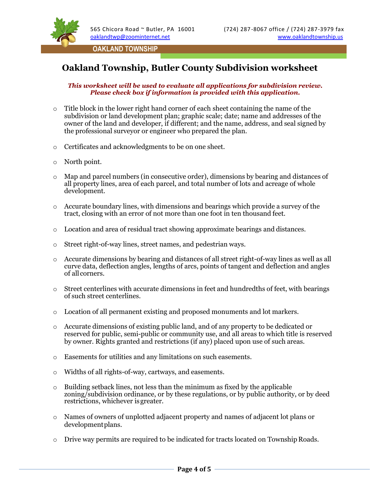

# **Oakland Township, Butler County Subdivision worksheet**

#### *This worksheet will be used to evaluate all applications for subdivision review. Please check box if information is provided with this application.*

- $\circ$  Title block in the lower right hand corner of each sheet containing the name of the subdivision or land development plan; graphic scale; date; name and addresses of the owner of the land and developer, if different; and the name, address, and seal signed by the professional surveyor or engineer who prepared the plan.
- o Certificates and acknowledgments to be on one sheet.
- o North point.
- o Map and parcel numbers (in consecutive order), dimensions by bearing and distances of all property lines, area of each parcel, and total number of lots and acreage of whole development.
- o Accurate boundary lines, with dimensions and bearings which provide a survey of the tract, closing with an error of not more than one foot in ten thousand feet.
- o Location and area of residual tract showing approximate bearings and distances.
- o Street right-of-way lines, street names, and pedestrian ways.
- o Accurate dimensions by bearing and distances of all street right-of-way lines as well as all curve data, deflection angles, lengths of arcs, points of tangent and deflection and angles of all corners.
- $\circ$  Street centerlines with accurate dimensions in feet and hundredths of feet, with bearings of such street centerlines.
- $\circ$  Location of all permanent existing and proposed monuments and lot markers.
- o Accurate dimensions of existing public land, and of any property to be dedicated or reserved for public, semi-public or community use, and all areas to which title is reserved by owner. Rights granted and restrictions (if any) placed upon use of such areas.
- o Easements for utilities and any limitations on such easements.
- o Widths of all rights-of-way, cartways, and easements.
- $\circ$  Building setback lines, not less than the minimum as fixed by the applicable zoning/subdivision ordinance, or by these regulations, or by public authority, or by deed restrictions, whichever isgreater.
- o Names of owners of unplotted adjacent property and names of adjacent lot plans or developmentplans.
- o Drive way permits are required to be indicated for tracts located on Township Roads.